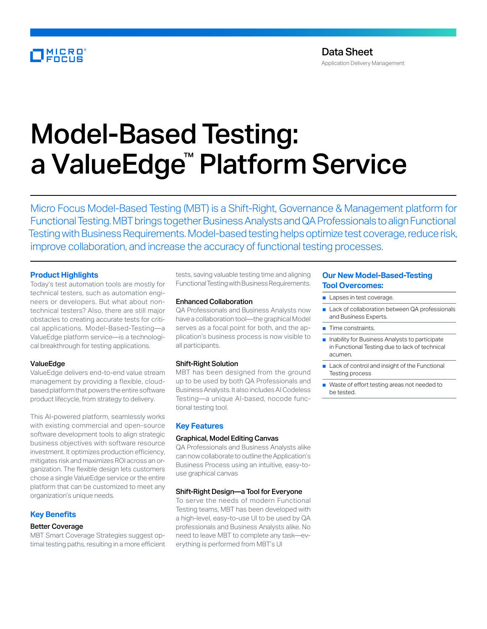# MICRO<br>FOCUS

# Model-Based Testing: a ValueEdge™ Platform Service

Micro Focus Model-Based Testing (MBT) is a Shift-Right, Governance & Management platform for Functional Testing. MBT brings together Business Analysts and QA Professionals to align Functional Testing with Business Requirements. Model-based testing helps optimize test coverage, reduce risk, improve collaboration, and increase the accuracy of functional testing processes.

#### **Product Highlights**

Today's test automation tools are mostly for technical testers, such as automation engineers or developers. But what about nontechnical testers? Also, there are still major obstacles to creating accurate tests for critical applications. Model-Based-Testing—a ValueEdge platform service—is a technological breakthrough for testing applications.

#### ValueEdge

ValueEdge delivers end-to-end value stream management by providing a flexible, cloudbased platform that powers the entire software product lifecycle, from strategy to delivery.

This AI-powered platform, seamlessly works with existing commercial and open-source software development tools to align strategic business objectives with software resource investment. It optimizes production efficiency, mitigates risk and maximizes ROI across an organization. The flexible design lets customers chose a single ValueEdge service or the entire platform that can be customized to meet any organization's unique needs.

#### **Key Benefits**

#### Better Coverage

MBT Smart Coverage Strategies suggest optimal testing paths, resulting in a more efficient tests, saving valuable testing time and aligning Functional Testing with Business Requirements.

#### Enhanced Collaboration

QA Professionals and Business Analysts now have a collaboration tool—the graphical Model serves as a focal point for both, and the application's business process is now visible to all participants.

#### Shift-Right Solution

MBT has been designed from the ground up to be used by both QA Professionals and Business Analysts. It also includes AI Codeless Testing—a unique AI-based, nocode functional testing tool.

#### **Key Features**

#### Graphical, Model Editing Canvas

QA Professionals and Business Analysts alike can now collaborate to outline the Application's Business Process using an intuitive, easy-touse graphical canvas

#### Shift-Right Design—a Tool for Everyone

To serve the needs of modern Functional Testing teams, MBT has been developed with a high-level, easy-to-use UI to be used by QA professionals and Business Analysts alike. No need to leave MBT to complete any task—everything is performed from MBT's UI

### **Our New Model-Based-Testing Tool Overcomes:**

- Lapses in test coverage.
- Lack of collaboration between QA professionals and Business Experts.
- Time constraints.
- Inability for Business Analysts to participate in Functional Testing due to lack of technical acumen.
- Lack of control and insight of the Functional Testing process
- Waste of effort testing areas not needed to be tested.